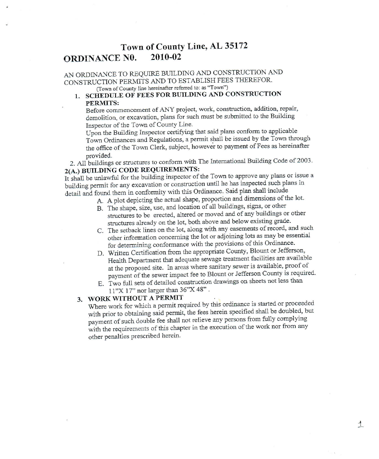#### Town of County Line, AL 35172 **ORDINANCE NO.** 2010-02

## AN ORDINANCE TO REQUIRE BUILDING AND CONSTRUCTION AND CONSTRUCTION PERMITS AND TO ESTABLISH FEES THEREFOR. (Town of County line hereinafter referred to: as "Town")

# 1. SCHEDULE OF FEES FOR BUILDING AND CONSTRUCTION PERMITS:

Before commencement of ANY project, work, construction, addition, repair, demolition, or excavation, plans for such must be submitted to the Building Inspector of the Town of County Line.

Upon the Building Inspector certifying that said plans conform to applicable Town Ordinances and Regulations, a permit shall be issued by the Town through the office of the Town Clerk, subject, however to payment of Fees as hereinafter provided.

2. All buildings or structures to conform with The International Building Code of 2003. 2(A.) BUILDING CODE REQUIREMENTS:

It shall be unlawful for the building inspector of the Town to approve any plans or issue a building permit for any excavation or construction until he has inspected such plans in detail and found them in conformity with this Ordinance. Said plan shall include

- A. A plot depicting the actual shape, proportion and dimensions of the lot.
- B. The shape, size, use, and location of all buildings, signs, or other structures to be erected, altered or moved and of any buildings or other structures already on the lot, both above and below existing grade.
- C. The setback lines on the lot, along with any easements of record, and such other information concerning the lot or adjoining lots as may be essential for determining conformance with the provisions of this Ordinance.
- D. Written Certification from the appropriate County, Blount or Jefferson, Health Department that adequate sewage treatment facilities are available at the proposed site. In areas where sanitary sewer is available, proof of payment of the sewer impact fee to Blount or Jefferson County is required.
- E. Two full sets of detailed construction drawings on sheets not less than 11"X 17" nor larger than 36"X 48".

# 3. WORK WITHOUT A PERMIT

Where work for which a permit required by this ordinance is started or proceeded with prior to obtaining said permit, the fees herein specified shall be doubled, but payment of such double fee shall not relieve any persons from fully complying with the requirements of this chapter in the execution of the work nor from any other penalties prescribed herein.

 $\frac{1}{1}$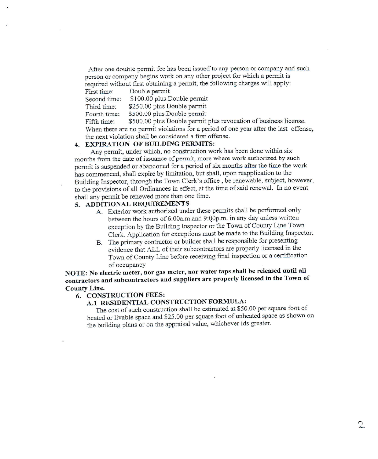After one double permit fee has been issued to any person or company and such person or company begins work on any other project for which a permit is required without first obtaining a permit, the following charges will apply:

Double permit First time:

Second time: \$100.00 plus Double permit

\$250.00 plus Double permit Third time:

\$500.00 plus Double permit Fourth time:

\$500.00 plus Double permit plus revocation of business license. Fifth time: When there are no permit violations for a period of one year after the last offense. the next violation shall be considered a first offense.

## 4. EXPIRATION OF BUILDING PERMITS:

Any permit, under which, no construction work has been done within six months from the date of issuance of permit, more where work authorized by such permit is suspended or abandoned for a period of six months after the time the work has commenced, shall expire by limitation, but shall, upon reapplication to the Building Inspector, through the Town Clerk's office, be renewable, subject, however, to the provisions of all Ordinances in effect, at the time of said renewal. In no event shall any permit be renewed more than one time.

## 5. ADDITIONAL REQUIREMENTS

- A. Exterior work authorized under these permits shall be performed only between the hours of 6:00a.m.and 9:00p.m. in any day unless written exception by the Building Inspector or the Town of County Line Town Clerk. Application for exceptions must be made to the Building Inspector.
- B. The primary contractor or builder shall be responsible for presenting evidence that ALL of their subcontractors are properly licensed in the Town of County Line before receiving final inspection or a certification of occupancy

NOTE: No electric meter, nor gas meter, nor water taps shall be released until all contractors and subcontractors and suppliers are properly licensed in the Town of **County Line.** 

#### **6. CONSTRUCTION FEES:**

# A.1 RESIDENTIAL CONSTRUCTION FORMULA:

The cost of such construction shall be estimated at \$50.00 per square foot of heated or livable space and \$25.00 per square foot of unheated space as shown on the building plans or on the appraisal value, whichever ids greater.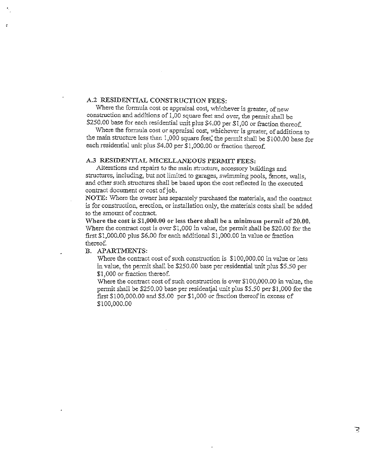## A.2 RESIDENTIAL CONSTRUCTION FEES:

Where the formula cost or appraisal cost, whichever is greater, of new construction and additions of 1,00 square feet and over, the permit shall be \$250.00 base for each residential unit plus \$4.00 per \$1,00 or fraction thereof.

Where the formula cost or appraisal cost, whichever is greater, of additions to the main structure less than 1,000 square feet, the permit shall be \$100.00 base for each residential unit plus \$4.00 per \$1,000.00 or fraction thereof.

#### A.3 RESIDENTIAL MICELLANEOUS PERMIT FEES:

Alterations and repairs to the main structure, accessory buildings and structures, including, but not limited to garages, swimming pools, fences, walls, and other such structures shall be based upon the cost reflected in the executed contract document or cost of job.

NOTE: Where the owner has separately purchased the materials, and the contract is for construction, erection, or installation only, the materials costs shall be added to the amount of contract.

Where the cost is \$1,000.00 or less there shall be a minimum permit of 20.00. Where the contract cost is over  $\$1,000$  in value, the permit shall be \$20.00 for the first \$1,000.00 plus \$6.00 for each additional \$1,000.00 in value or fraction thereof.

### B. APARTMENTS:

Where the contract cost of such construction is \$100,000.00 in value or less in value, the permit shall be \$250.00 base per residential unit plus \$5.50 per \$1,000 or fraction thereof.

Where the contract cost of such construction is over \$100,000.00 in value, the permit shall be \$250.00 base per residential unit plus \$5.50 per \$1,000 for the first \$100,000.00 and \$5.00 per \$1,000 or fraction thereof in excess of \$100,000.00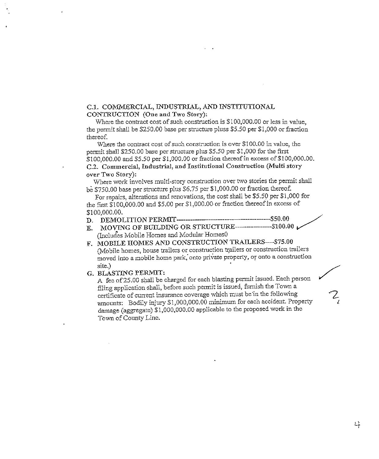### C.1. COMMERCIAL, INDUSTRIAL, AND INSTITUTIONAL CONTRUCTION (One and Two Story):

Where the contract cost of such construction is \$100,000.00 or less in value, the permit shall be \$250.00 base per structure pluss \$5.50 per \$1,000 or fraction thereof.

Where the contract cost of such construction is over \$100.00 in value. the permit shall \$250.00 base per structure plus \$5.50 per \$1,000 for the first \$100,000.00 and \$5.50 per \$1,000.00 or fraction thereof in excess of \$100,000.00. C.2. Commercial, Industrial, and Institutional Construction (Multi story over Two Story):

Where work involves multi-story construction over two stories the permit shall be \$750.00 base per structure plus \$6.75 per \$1,000.00 or fraction thereof.

For repairs, alterations and renovations, the cost shall be \$5.50 per \$1,000 for the first \$100,000.00 and \$5.00 per \$1,000.00 or fraction thereof in excess of \$100,000.00.

- D. DEMOLITION PERMIT-
- E. MOVING OF BUILDING OR STRUCTURE--------------------- \$100.00 (Includes Mobile Homes and Modular Homes0
- F. MOBILE HOMES AND CONSTRUCTION TRAILERS--- \$75.00 (Mobile homes, house trailers or construction trailers or construction trailers moved into a mobile home park, onto private property, or onto a construction site.)
- G. BLASTING PERMIT:

A fee of 25.00 shall be charged for each blasting permit issued. Each person filing application shall, before such permit is issued, furnish the Town a certificate of current insurance coverage which must be in the following amounts: Bodily injury \$1,000,000.00 minimum for each accident. Property damage (aggregate) \$1,000,000.00 applicable to the proposed work in the Town of County Line.

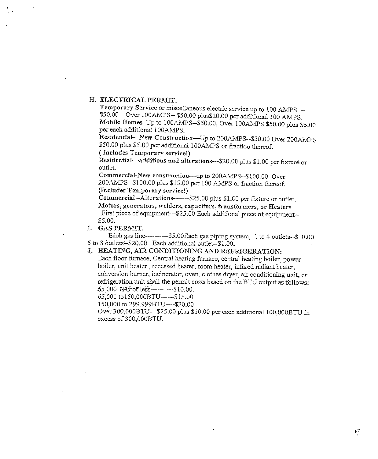#### H. ELECTRICAL PERMIT:

Temporary Service or miscellaneous electric service up to 100 AMPS --\$50.00 Over 100AMPS-- \$50.00 plus\$10.00 per additional 100 AMPS. Mobile Homes Up to 100AMPS-\$50.00, Over 100AMPS \$50.00 plus \$5.00 per each additional 100AMPS.

Residential-New Construction-Up to 200AMPS--\$50.00 Over 200AMPS \$50.00 plus \$5.00 per additional 100AMPS or fraction thereof.

(Includes Temporary service!)

Residential-additions and alterations---\$20.00 plus \$1.00 per fixture or outlet.

Commercial-New construction-up to 200AMPS--\$100.00 Over 200AMPS--\$100.00 plus \$15.00 per 100 AMPS or fraction thereof. (Includes Temporary service!)

Commercial-Alterations-------\$25.00 plus \$1.00 per fixture or outlet. Motors, generators, welders, capacitors, transformers, or Heaters First piece of equipment---\$25.00 Each additional piece of equipment--

\$5.00.

I. GAS PERMIT:

Each gas line-----------\$5.00Each gas piping system, 1 to 4 outlets--\$10.00 5 to 8 outlets-\$20.00 Each additional outlet-\$1.00.

# J. HEATING, AIR CONDITIONING AND REFRIGERATION:

Each floor furnace, Central heating furnace, central heating boiler, power boiler, unit heater, recessed heater, room heater, infared radiant heater, conversion burner, incinerator, oven, clothes dryer, air conditioning unit, or refrigeration unit shall the permit costs based on the BTU output as follows: 65,000BFU or less----------\$10.00.

65,001 to150,000BTU------\$15.00

150,000 to 299,999BTU----\$20.00

Over 300,000BTU---\$25.00 plus \$10.00 per each additional 100,000BTU in excess of 300,000BTU.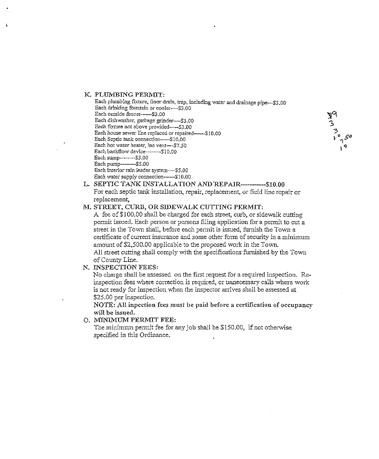#### K. PLUMBING PERMIT:

Each water supply connection-----\$10.00

Each plumbing fixture, floor drain, trap, including water and drainage pipe--\$3.00 Each drinking fountain or cooler---\$3.00 Each outside faucet------\$3.00 Each dishwasher, garbage grinder----\$3.00 Each fixture not above provided---\$3.00 Each house sewer line replaced or repaired-------\$10.00 Each Septic tank connection-----\$10.00 Each hot water heater, inc vent----\$7.50 Each backflow device-------\$10.00 Each sump--------\$5.00 Each pump--------- \$5.00 Each interior rain leader system----\$5.00

L. SEPTIC TANK INSTALLATION AND REPAIR------------ \$10.00 For each septic tank installation, repair, replacement, or field line repair or replacement,

#### M. STREET, CURB, OR SIDEWALK CUTTING PERMIT:

A fee of \$100.00 shall be charged for each street, curb, or sidewalk cutting permit issued. Each person or persons filing application for a permit to cut a street in the Town shall, before each permit is issued, furnish the Town a certificate of current insurance and some other form of security in a minimum amount of \$2,500.00 applicable to the proposed work in the Town. All street cutting shall comply with the specifications furnished by the Town

N. INSPECTION FEES:

of County Line.

No charge shall be assessed on the first request for a required inspection. Reinspection fees where correction is required, or unnecessary calls where work is not ready for inspection when the inspector arrives shall be assessed at \$25.00 per inspection.

NOTE: All inpection fees must be paid before a certification of occupancy will be issued.

O. MINIMUM PERMIT FEE:

The minimum permit fee for any job shall be \$150.00, if not otherwise specified in this Ordinance.